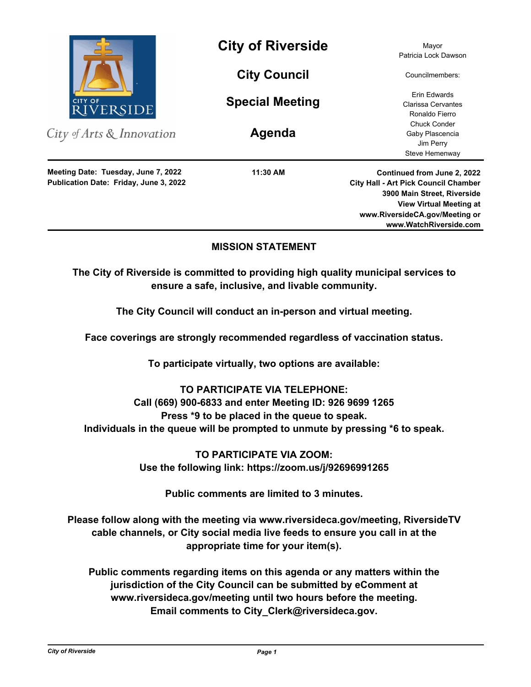

City of Arts & Innovation

**Publication Date: Friday, June 3, 2022 Meeting Date: Tuesday, June 7, 2022**

**City of Riverside** Mayor

**City Council**

**Special Meeting**

**Agenda**

**11:30 AM**

Patricia Lock Dawson

Councilmembers:

Erin Edwards Clarissa Cervantes Ronaldo Fierro Chuck Conder Gaby Plascencia Jim Perry Steve Hemenway

**Continued from June 2, 2022 City Hall - Art Pick Council Chamber 3900 Main Street, Riverside View Virtual Meeting at www.RiversideCA.gov/Meeting or www.WatchRiverside.com**

## **MISSION STATEMENT**

**The City of Riverside is committed to providing high quality municipal services to ensure a safe, inclusive, and livable community.**

**The City Council will conduct an in-person and virtual meeting.** 

**Face coverings are strongly recommended regardless of vaccination status.** 

**To participate virtually, two options are available:** 

# **TO PARTICIPATE VIA TELEPHONE:**

**Call (669) 900-6833 and enter Meeting ID: 926 9699 1265 Press \*9 to be placed in the queue to speak. Individuals in the queue will be prompted to unmute by pressing \*6 to speak.**

> **TO PARTICIPATE VIA ZOOM: Use the following link: https://zoom.us/j/92696991265**

> > **Public comments are limited to 3 minutes.**

**Please follow along with the meeting via www.riversideca.gov/meeting, RiversideTV cable channels, or City social media live feeds to ensure you call in at the appropriate time for your item(s).** 

**Public comments regarding items on this agenda or any matters within the jurisdiction of the City Council can be submitted by eComment at www.riversideca.gov/meeting until two hours before the meeting. Email comments to City\_Clerk@riversideca.gov.**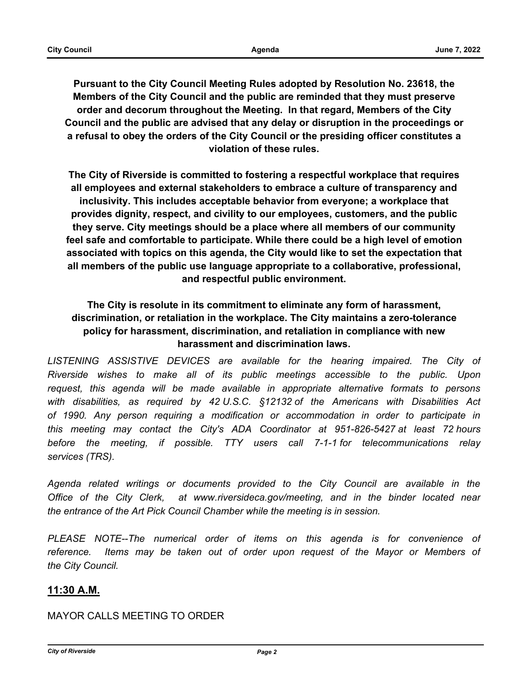**Pursuant to the City Council Meeting Rules adopted by Resolution No. 23618, the Members of the City Council and the public are reminded that they must preserve order and decorum throughout the Meeting. In that regard, Members of the City Council and the public are advised that any delay or disruption in the proceedings or a refusal to obey the orders of the City Council or the presiding officer constitutes a violation of these rules.**

**The City of Riverside is committed to fostering a respectful workplace that requires all employees and external stakeholders to embrace a culture of transparency and inclusivity. This includes acceptable behavior from everyone; a workplace that provides dignity, respect, and civility to our employees, customers, and the public they serve. City meetings should be a place where all members of our community feel safe and comfortable to participate. While there could be a high level of emotion associated with topics on this agenda, the City would like to set the expectation that all members of the public use language appropriate to a collaborative, professional, and respectful public environment.**

# **The City is resolute in its commitment to eliminate any form of harassment, discrimination, or retaliation in the workplace. The City maintains a zero-tolerance policy for harassment, discrimination, and retaliation in compliance with new harassment and discrimination laws.**

LISTENING ASSISTIVE DEVICES are available for the hearing impaired. The City of *Riverside wishes to make all of its public meetings accessible to the public. Upon request, this agenda will be made available in appropriate alternative formats to persons with disabilities, as required by 42 U.S.C. §12132 of the Americans with Disabilities Act of 1990. Any person requiring a modification or accommodation in order to participate in this meeting may contact the City's ADA Coordinator at 951-826-5427 at least 72 hours before the meeting, if possible. TTY users call 7-1-1 for telecommunications relay services (TRS).* 

*Agenda related writings or documents provided to the City Council are available in the Office of the City Clerk, at www.riversideca.gov/meeting, and in the binder located near the entrance of the Art Pick Council Chamber while the meeting is in session.* 

PLEASE NOTE--The numerical order of items on this agenda is for convenience of *reference. Items may be taken out of order upon request of the Mayor or Members of the City Council.*

## **11:30 A.M.**

## MAYOR CALLS MEETING TO ORDER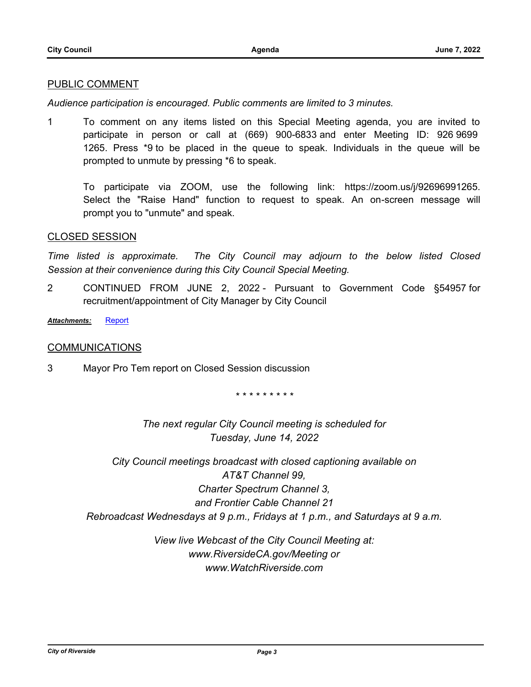#### PUBLIC COMMENT

*Audience participation is encouraged. Public comments are limited to 3 minutes.*

1 To comment on any items listed on this Special Meeting agenda, you are invited to participate in person or call at (669) 900-6833 and enter Meeting ID: 926 9699 1265. Press \*9 to be placed in the queue to speak. Individuals in the queue will be prompted to unmute by pressing \*6 to speak.

To participate via ZOOM, use the following link: https://zoom.us/j/92696991265. Select the "Raise Hand" function to request to speak. An on-screen message will prompt you to "unmute" and speak.

#### CLOSED SESSION

*Time listed is approximate. The City Council may adjourn to the below listed Closed Session at their convenience during this City Council Special Meeting.*

2 CONTINUED FROM JUNE 2, 2022 - Pursuant to Government Code §54957 for recruitment/appointment of City Manager by City Council

*Attachments:* [Report](http://riversideca.legistar.com/gateway.aspx?M=F&ID=dce958f3-c01c-4f38-9a2a-4ee26152dcc7.pdf)

### **COMMUNICATIONS**

3 Mayor Pro Tem report on Closed Session discussion

*\* \* \* \* \* \* \* \* \**

*The next regular City Council meeting is scheduled for Tuesday, June 14, 2022*

*City Council meetings broadcast with closed captioning available on AT&T Channel 99, Charter Spectrum Channel 3, and Frontier Cable Channel 21 Rebroadcast Wednesdays at 9 p.m., Fridays at 1 p.m., and Saturdays at 9 a.m.*

> *View live Webcast of the City Council Meeting at: www.RiversideCA.gov/Meeting or www.WatchRiverside.com*